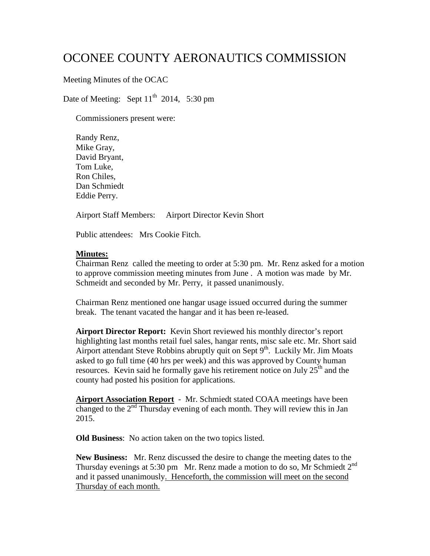# OCONEE COUNTY AERONAUTICS COMMISSION

## Meeting Minutes of the OCAC

Date of Meeting: Sept  $11<sup>th</sup>$  2014, 5:30 pm

Commissioners present were:

Randy Renz, Mike Gray, David Bryant, Tom Luke, Ron Chiles, Dan Schmiedt Eddie Perry.

Airport Staff Members: Airport Director Kevin Short

Public attendees: Mrs Cookie Fitch.

#### **Minutes:**

Chairman Renz called the meeting to order at 5:30 pm. Mr. Renz asked for a motion to approve commission meeting minutes from June . A motion was made by Mr. Schmeidt and seconded by Mr. Perry, it passed unanimously.

Chairman Renz mentioned one hangar usage issued occurred during the summer break. The tenant vacated the hangar and it has been re-leased.

**Airport Director Report:** Kevin Short reviewed his monthly director's report highlighting last months retail fuel sales, hangar rents, misc sale etc. Mr. Short said Airport attendant Steve Robbins abruptly quit on Sept  $9<sup>th</sup>$ . Luckily Mr. Jim Moats asked to go full time (40 hrs per week) and this was approved by County human resources. Kevin said he formally gave his retirement notice on July  $25<sup>th</sup>$  and the county had posted his position for applications.

**Airport Association Report** - Mr. Schmiedt stated COAA meetings have been changed to the  $2<sup>nd</sup>$  Thursday evening of each month. They will review this in Jan 2015.

**Old Business**: No action taken on the two topics listed.

**New Business:** Mr. Renz discussed the desire to change the meeting dates to the Thursday evenings at 5:30 pm Mr. Renz made a motion to do so, Mr Schmiedt  $2^{nd}$ and it passed unanimously. Henceforth, the commission will meet on the second Thursday of each month.